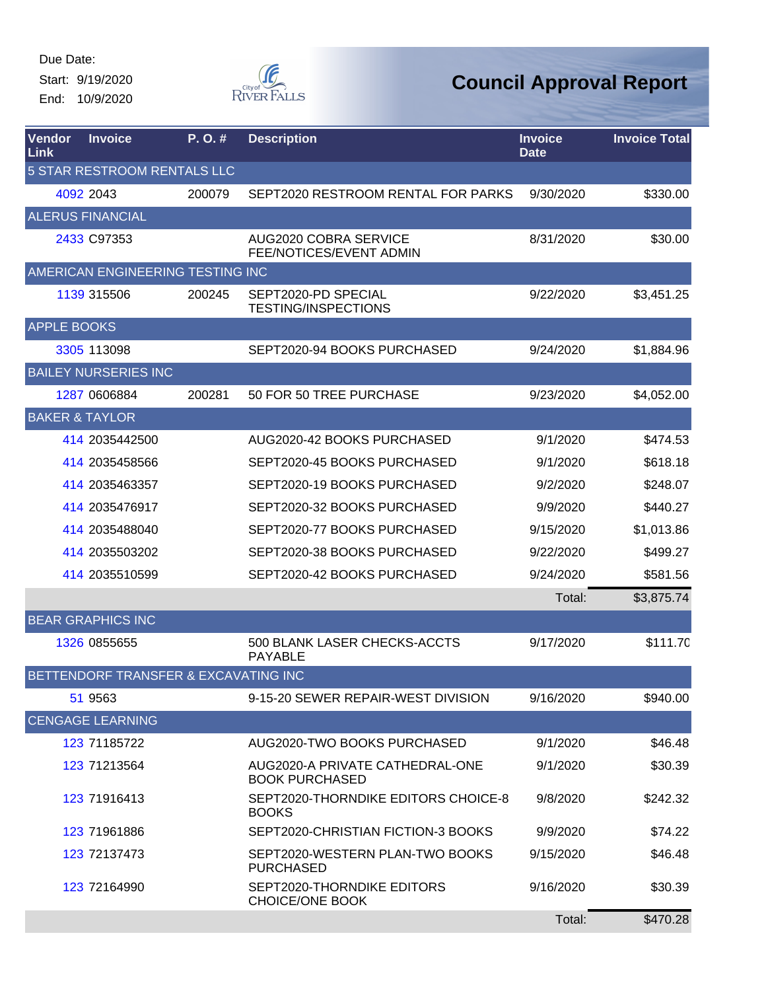Start: 9/19/2020 End: 10/9/2020



| Vendor<br>Link     | <b>Invoice</b>                       | P. O. # | <b>Description</b>                                       | <b>Invoice</b><br><b>Date</b> | <b>Invoice Total</b> |
|--------------------|--------------------------------------|---------|----------------------------------------------------------|-------------------------------|----------------------|
|                    | <b>5 STAR RESTROOM RENTALS LLC</b>   |         |                                                          |                               |                      |
|                    | 4092 2043                            | 200079  | SEPT2020 RESTROOM RENTAL FOR PARKS                       | 9/30/2020                     | \$330.00             |
|                    | <b>ALERUS FINANCIAL</b>              |         |                                                          |                               |                      |
|                    | 2433 C97353                          |         | AUG2020 COBRA SERVICE<br>FEE/NOTICES/EVENT ADMIN         | 8/31/2020                     | \$30.00              |
|                    | AMERICAN ENGINEERING TESTING INC     |         |                                                          |                               |                      |
|                    | 1139 315506                          | 200245  | SEPT2020-PD SPECIAL<br><b>TESTING/INSPECTIONS</b>        | 9/22/2020                     | \$3,451.25           |
| <b>APPLE BOOKS</b> |                                      |         |                                                          |                               |                      |
|                    | 3305 113098                          |         | SEPT2020-94 BOOKS PURCHASED                              | 9/24/2020                     | \$1,884.96           |
|                    | <b>BAILEY NURSERIES INC</b>          |         |                                                          |                               |                      |
|                    | 1287 0606884                         | 200281  | 50 FOR 50 TREE PURCHASE                                  | 9/23/2020                     | \$4,052.00           |
|                    | <b>BAKER &amp; TAYLOR</b>            |         |                                                          |                               |                      |
|                    | 414 2035442500                       |         | AUG2020-42 BOOKS PURCHASED                               | 9/1/2020                      | \$474.53             |
|                    | 414 2035458566                       |         | SEPT2020-45 BOOKS PURCHASED                              | 9/1/2020                      | \$618.18             |
|                    | 414 2035463357                       |         | SEPT2020-19 BOOKS PURCHASED                              | 9/2/2020                      | \$248.07             |
|                    | 414 2035476917                       |         | SEPT2020-32 BOOKS PURCHASED                              | 9/9/2020                      | \$440.27             |
|                    | 414 2035488040                       |         | SEPT2020-77 BOOKS PURCHASED                              | 9/15/2020                     | \$1,013.86           |
|                    | 414 2035503202                       |         | SEPT2020-38 BOOKS PURCHASED                              | 9/22/2020                     | \$499.27             |
|                    | 414 2035510599                       |         | SEPT2020-42 BOOKS PURCHASED                              | 9/24/2020                     | \$581.56             |
|                    |                                      |         |                                                          | Total:                        | \$3,875.74           |
|                    | <b>BEAR GRAPHICS INC</b>             |         |                                                          |                               |                      |
|                    | 1326 0855655                         |         | 500 BLANK LASER CHECKS-ACCTS<br><b>PAYABLE</b>           | 9/17/2020                     | \$111.70             |
|                    | BETTENDORF TRANSFER & EXCAVATING INC |         |                                                          |                               |                      |
|                    | 51 9563                              |         | 9-15-20 SEWER REPAIR-WEST DIVISION                       | 9/16/2020                     | \$940.00             |
|                    | <b>CENGAGE LEARNING</b>              |         |                                                          |                               |                      |
|                    | 123 71185722                         |         | AUG2020-TWO BOOKS PURCHASED                              | 9/1/2020                      | \$46.48              |
|                    | 123 71213564                         |         | AUG2020-A PRIVATE CATHEDRAL-ONE<br><b>BOOK PURCHASED</b> | 9/1/2020                      | \$30.39              |
|                    | 123 71916413                         |         | SEPT2020-THORNDIKE EDITORS CHOICE-8<br><b>BOOKS</b>      | 9/8/2020                      | \$242.32             |
|                    | 123 71961886                         |         | SEPT2020-CHRISTIAN FICTION-3 BOOKS                       | 9/9/2020                      | \$74.22              |
|                    | 123 72137473                         |         | SEPT2020-WESTERN PLAN-TWO BOOKS<br><b>PURCHASED</b>      | 9/15/2020                     | \$46.48              |
|                    | 123 72164990                         |         | SEPT2020-THORNDIKE EDITORS<br><b>CHOICE/ONE BOOK</b>     | 9/16/2020                     | \$30.39              |
|                    |                                      |         |                                                          | Total:                        | \$470.28             |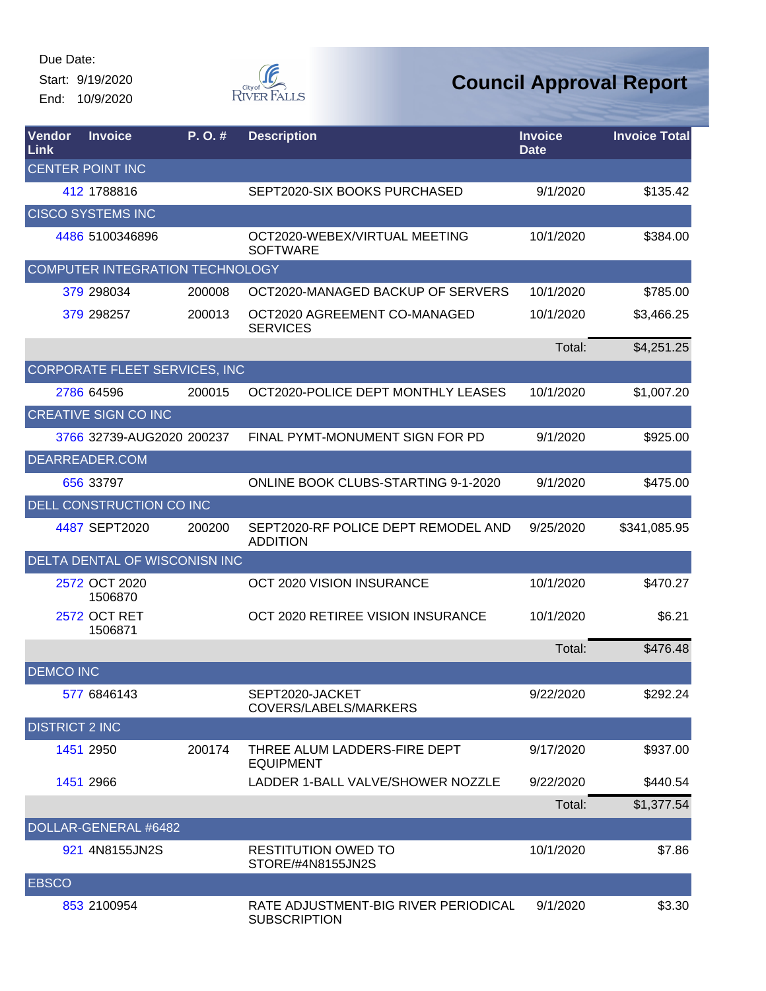Start: 9/19/2020 End: 10/9/2020



| Vendor<br>Link        | <b>Invoice</b>                         | P. O. # | <b>Description</b>                                          | <b>Invoice</b><br><b>Date</b> | <b>Invoice Total</b> |
|-----------------------|----------------------------------------|---------|-------------------------------------------------------------|-------------------------------|----------------------|
|                       | <b>CENTER POINT INC</b>                |         |                                                             |                               |                      |
|                       | 412 1788816                            |         | SEPT2020-SIX BOOKS PURCHASED                                | 9/1/2020                      | \$135.42             |
|                       | <b>CISCO SYSTEMS INC</b>               |         |                                                             |                               |                      |
|                       | 4486 5100346896                        |         | OCT2020-WEBEX/VIRTUAL MEETING<br><b>SOFTWARE</b>            | 10/1/2020                     | \$384.00             |
|                       | <b>COMPUTER INTEGRATION TECHNOLOGY</b> |         |                                                             |                               |                      |
|                       | 379 298034                             | 200008  | OCT2020-MANAGED BACKUP OF SERVERS                           | 10/1/2020                     | \$785.00             |
|                       | 379 298257                             | 200013  | OCT2020 AGREEMENT CO-MANAGED<br><b>SERVICES</b>             | 10/1/2020                     | \$3,466.25           |
|                       |                                        |         |                                                             | Total:                        | \$4,251.25           |
|                       | CORPORATE FLEET SERVICES, INC          |         |                                                             |                               |                      |
|                       | 2786 64596                             | 200015  | OCT2020-POLICE DEPT MONTHLY LEASES                          | 10/1/2020                     | \$1,007.20           |
|                       | <b>CREATIVE SIGN CO INC</b>            |         |                                                             |                               |                      |
|                       | 3766 32739-AUG2020 200237              |         | FINAL PYMT-MONUMENT SIGN FOR PD                             | 9/1/2020                      | \$925.00             |
|                       | DEARREADER.COM                         |         |                                                             |                               |                      |
|                       | 656 33797                              |         | <b>ONLINE BOOK CLUBS-STARTING 9-1-2020</b>                  | 9/1/2020                      | \$475.00             |
|                       | DELL CONSTRUCTION CO INC               |         |                                                             |                               |                      |
|                       | 4487 SEPT2020                          | 200200  | SEPT2020-RF POLICE DEPT REMODEL AND<br><b>ADDITION</b>      | 9/25/2020                     | \$341,085.95         |
|                       | DELTA DENTAL OF WISCONISN INC          |         |                                                             |                               |                      |
|                       | 2572 OCT 2020<br>1506870               |         | OCT 2020 VISION INSURANCE                                   | 10/1/2020                     | \$470.27             |
|                       | <b>2572 OCT RET</b><br>1506871         |         | OCT 2020 RETIREE VISION INSURANCE                           | 10/1/2020                     | \$6.21               |
|                       |                                        |         |                                                             | Total:                        | \$476.48             |
| <b>DEMCO INC</b>      |                                        |         |                                                             |                               |                      |
|                       | 577 6846143                            |         | SEPT2020-JACKET<br>COVERS/LABELS/MARKERS                    | 9/22/2020                     | \$292.24             |
| <b>DISTRICT 2 INC</b> |                                        |         |                                                             |                               |                      |
|                       | 1451 2950                              | 200174  | THREE ALUM LADDERS-FIRE DEPT<br><b>EQUIPMENT</b>            | 9/17/2020                     | \$937.00             |
|                       | 1451 2966                              |         | LADDER 1-BALL VALVE/SHOWER NOZZLE                           | 9/22/2020                     | \$440.54             |
|                       |                                        |         |                                                             | Total:                        | \$1,377.54           |
|                       | DOLLAR-GENERAL #6482                   |         |                                                             |                               |                      |
|                       | 921 4N8155JN2S                         |         | <b>RESTITUTION OWED TO</b><br>STORE/#4N8155JN2S             | 10/1/2020                     | \$7.86               |
| <b>EBSCO</b>          |                                        |         |                                                             |                               |                      |
|                       | 853 2100954                            |         | RATE ADJUSTMENT-BIG RIVER PERIODICAL<br><b>SUBSCRIPTION</b> | 9/1/2020                      | \$3.30               |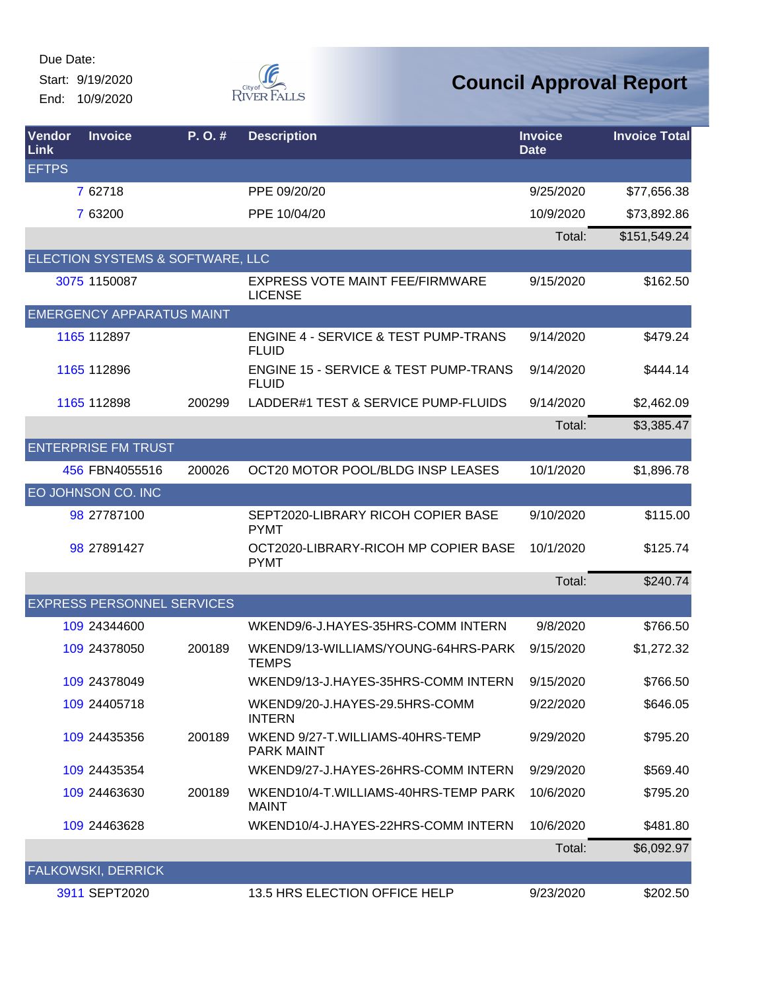Start: 9/19/2020 End: 10/9/2020



| Vendor<br>Link | <b>Invoice</b>                    | P.O.#  | <b>Description</b>                                               | <b>Invoice</b><br><b>Date</b> | <b>Invoice Total</b> |
|----------------|-----------------------------------|--------|------------------------------------------------------------------|-------------------------------|----------------------|
| <b>EFTPS</b>   |                                   |        |                                                                  |                               |                      |
|                | 7 62718                           |        | PPE 09/20/20                                                     | 9/25/2020                     | \$77,656.38          |
|                | 7 63200                           |        | PPE 10/04/20                                                     | 10/9/2020                     | \$73,892.86          |
|                |                                   |        |                                                                  | Total:                        | \$151,549.24         |
|                | ELECTION SYSTEMS & SOFTWARE, LLC  |        |                                                                  |                               |                      |
|                | 3075 1150087                      |        | EXPRESS VOTE MAINT FEE/FIRMWARE<br><b>LICENSE</b>                | 9/15/2020                     | \$162.50             |
|                | <b>EMERGENCY APPARATUS MAINT</b>  |        |                                                                  |                               |                      |
|                | 1165 112897                       |        | <b>ENGINE 4 - SERVICE &amp; TEST PUMP-TRANS</b><br><b>FLUID</b>  | 9/14/2020                     | \$479.24             |
|                | 1165 112896                       |        | <b>ENGINE 15 - SERVICE &amp; TEST PUMP-TRANS</b><br><b>FLUID</b> | 9/14/2020                     | \$444.14             |
|                | 1165 112898                       | 200299 | LADDER#1 TEST & SERVICE PUMP-FLUIDS                              | 9/14/2020                     | \$2,462.09           |
|                |                                   |        |                                                                  | Total:                        | \$3,385.47           |
|                | <b>ENTERPRISE FM TRUST</b>        |        |                                                                  |                               |                      |
|                | 456 FBN4055516                    | 200026 | OCT20 MOTOR POOL/BLDG INSP LEASES                                | 10/1/2020                     | \$1,896.78           |
|                | EO JOHNSON CO. INC                |        |                                                                  |                               |                      |
|                | 98 27787100                       |        | SEPT2020-LIBRARY RICOH COPIER BASE<br><b>PYMT</b>                | 9/10/2020                     | \$115.00             |
|                | 98 27891427                       |        | OCT2020-LIBRARY-RICOH MP COPIER BASE<br><b>PYMT</b>              | 10/1/2020                     | \$125.74             |
|                |                                   |        |                                                                  | Total:                        | \$240.74             |
|                | <b>EXPRESS PERSONNEL SERVICES</b> |        |                                                                  |                               |                      |
|                | 109 24344600                      |        | WKEND9/6-J.HAYES-35HRS-COMM INTERN                               | 9/8/2020                      | \$766.50             |
|                | 109 24378050                      | 200189 | WKEND9/13-WILLIAMS/YOUNG-64HRS-PARK<br><b>TEMPS</b>              | 9/15/2020                     | \$1,272.32           |
|                | 109 24378049                      |        | WKEND9/13-J.HAYES-35HRS-COMM INTERN                              | 9/15/2020                     | \$766.50             |
|                | 109 24405718                      |        | WKEND9/20-J.HAYES-29.5HRS-COMM<br><b>INTERN</b>                  | 9/22/2020                     | \$646.05             |
|                | 109 24435356                      | 200189 | WKEND 9/27-T.WILLIAMS-40HRS-TEMP<br><b>PARK MAINT</b>            | 9/29/2020                     | \$795.20             |
|                | 109 24435354                      |        | WKEND9/27-J.HAYES-26HRS-COMM INTERN                              | 9/29/2020                     | \$569.40             |
|                | 109 24463630                      | 200189 | WKEND10/4-T.WILLIAMS-40HRS-TEMP PARK<br><b>MAINT</b>             | 10/6/2020                     | \$795.20             |
|                | 109 24463628                      |        | WKEND10/4-J.HAYES-22HRS-COMM INTERN                              | 10/6/2020                     | \$481.80             |
|                |                                   |        |                                                                  | Total:                        | \$6,092.97           |
|                | <b>FALKOWSKI, DERRICK</b>         |        |                                                                  |                               |                      |
|                | 3911 SEPT2020                     |        | 13.5 HRS ELECTION OFFICE HELP                                    | 9/23/2020                     | \$202.50             |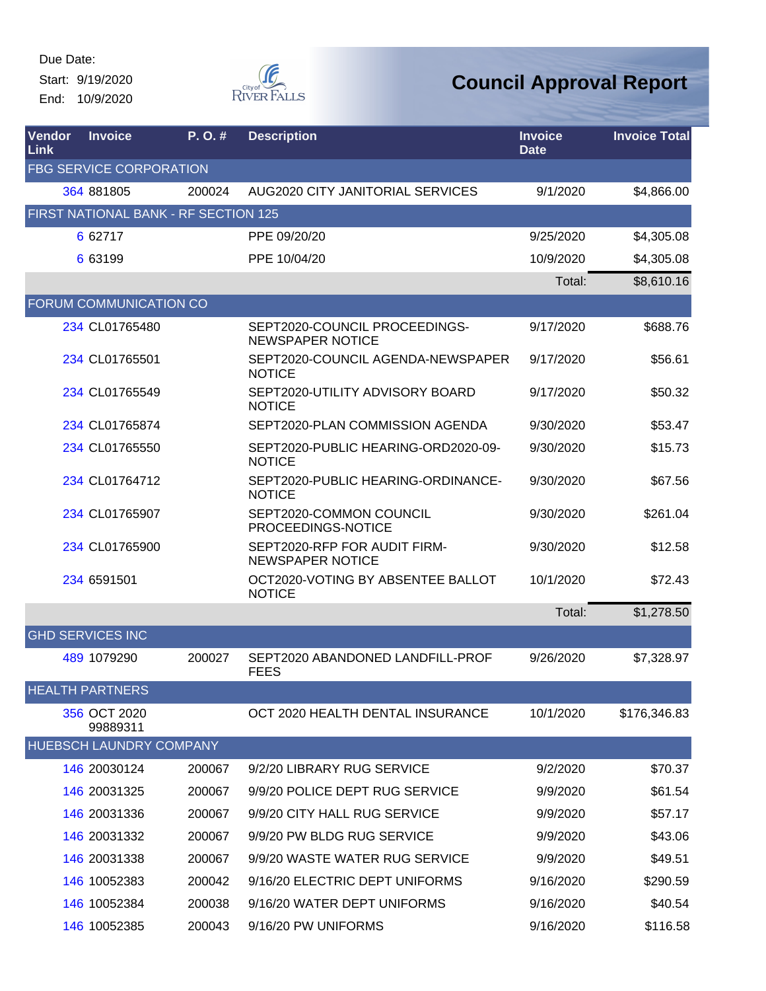Start: 9/19/2020 End: 10/9/2020



| Vendor<br>Link | <b>Invoice</b>                       | P. O. # | <b>Description</b>                                       | <b>Invoice</b><br><b>Date</b> | <b>Invoice Total</b> |
|----------------|--------------------------------------|---------|----------------------------------------------------------|-------------------------------|----------------------|
|                | <b>FBG SERVICE CORPORATION</b>       |         |                                                          |                               |                      |
|                | 364 881805                           | 200024  | AUG2020 CITY JANITORIAL SERVICES                         | 9/1/2020                      | \$4,866.00           |
|                | FIRST NATIONAL BANK - RF SECTION 125 |         |                                                          |                               |                      |
|                | 6 62717                              |         | PPE 09/20/20                                             | 9/25/2020                     | \$4,305.08           |
|                | 6 63199                              |         | PPE 10/04/20                                             | 10/9/2020                     | \$4,305.08           |
|                |                                      |         |                                                          | Total:                        | \$8,610.16           |
|                | FORUM COMMUNICATION CO               |         |                                                          |                               |                      |
|                | 234 CL01765480                       |         | SEPT2020-COUNCIL PROCEEDINGS-<br><b>NEWSPAPER NOTICE</b> | 9/17/2020                     | \$688.76             |
|                | 234 CL01765501                       |         | SEPT2020-COUNCIL AGENDA-NEWSPAPER<br><b>NOTICE</b>       | 9/17/2020                     | \$56.61              |
|                | 234 CL01765549                       |         | SEPT2020-UTILITY ADVISORY BOARD<br><b>NOTICE</b>         | 9/17/2020                     | \$50.32              |
|                | 234 CL01765874                       |         | SEPT2020-PLAN COMMISSION AGENDA                          | 9/30/2020                     | \$53.47              |
|                | 234 CL01765550                       |         | SEPT2020-PUBLIC HEARING-ORD2020-09-<br><b>NOTICE</b>     | 9/30/2020                     | \$15.73              |
|                | 234 CL01764712                       |         | SEPT2020-PUBLIC HEARING-ORDINANCE-<br><b>NOTICE</b>      | 9/30/2020                     | \$67.56              |
|                | 234 CL01765907                       |         | SEPT2020-COMMON COUNCIL<br>PROCEEDINGS-NOTICE            | 9/30/2020                     | \$261.04             |
|                | 234 CL01765900                       |         | SEPT2020-RFP FOR AUDIT FIRM-<br><b>NEWSPAPER NOTICE</b>  | 9/30/2020                     | \$12.58              |
|                | 234 6591501                          |         | OCT2020-VOTING BY ABSENTEE BALLOT<br><b>NOTICE</b>       | 10/1/2020                     | \$72.43              |
|                |                                      |         |                                                          | Total:                        | \$1,278.50           |
|                | <b>GHD SERVICES INC</b>              |         |                                                          |                               |                      |
|                | 489 1079290                          | 200027  | SEPT2020 ABANDONED LANDFILL-PROF<br><b>FEES</b>          | 9/26/2020                     | \$7,328.97           |
|                | <b>HEALTH PARTNERS</b>               |         |                                                          |                               |                      |
|                | 356 OCT 2020<br>99889311             |         | OCT 2020 HEALTH DENTAL INSURANCE                         | 10/1/2020                     | \$176,346.83         |
|                | HUEBSCH LAUNDRY COMPANY              |         |                                                          |                               |                      |
|                | 146 20030124                         | 200067  | 9/2/20 LIBRARY RUG SERVICE                               | 9/2/2020                      | \$70.37              |
|                | 146 20031325                         | 200067  | 9/9/20 POLICE DEPT RUG SERVICE                           | 9/9/2020                      | \$61.54              |
|                | 146 20031336                         | 200067  | 9/9/20 CITY HALL RUG SERVICE                             | 9/9/2020                      | \$57.17              |
|                | 146 20031332                         | 200067  | 9/9/20 PW BLDG RUG SERVICE                               | 9/9/2020                      | \$43.06              |
|                | 146 20031338                         | 200067  | 9/9/20 WASTE WATER RUG SERVICE                           | 9/9/2020                      | \$49.51              |
|                | 146 10052383                         | 200042  | 9/16/20 ELECTRIC DEPT UNIFORMS                           | 9/16/2020                     | \$290.59             |
|                | 146 10052384                         | 200038  | 9/16/20 WATER DEPT UNIFORMS                              | 9/16/2020                     | \$40.54              |
|                | 146 10052385                         | 200043  | 9/16/20 PW UNIFORMS                                      | 9/16/2020                     | \$116.58             |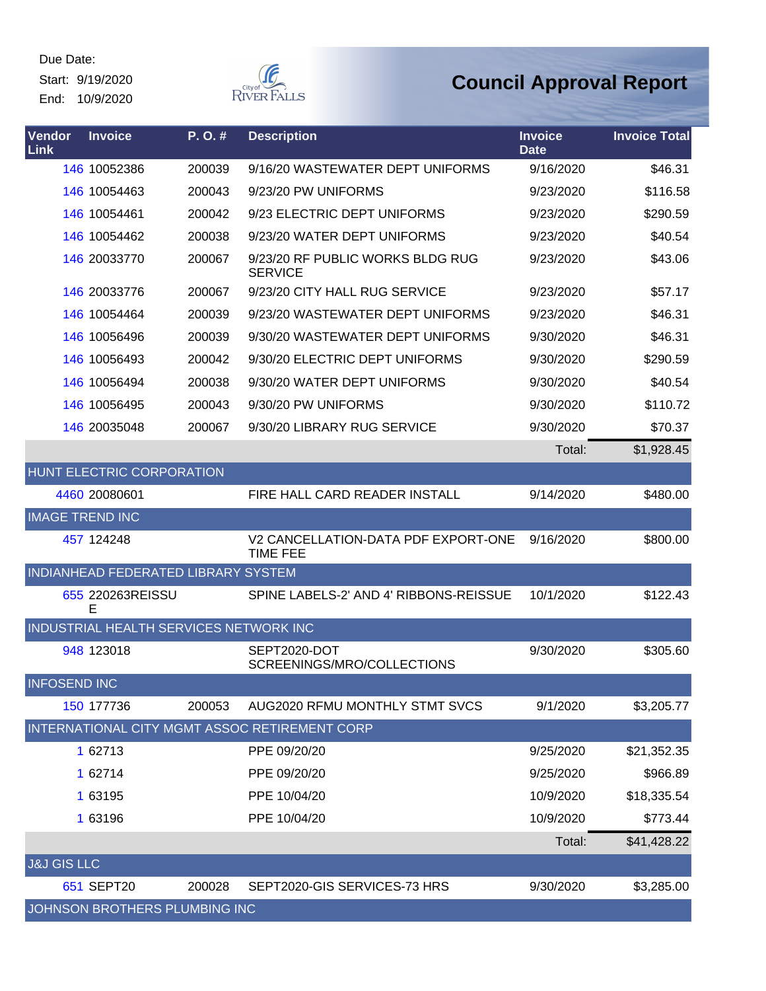Start: 9/19/2020 End: 10/9/2020



| Vendor<br>Link         | <b>Invoice</b>                         | P.O.#  | <b>Description</b>                                     | <b>Invoice</b><br><b>Date</b> | <b>Invoice Total</b> |
|------------------------|----------------------------------------|--------|--------------------------------------------------------|-------------------------------|----------------------|
|                        | 146 10052386                           | 200039 | 9/16/20 WASTEWATER DEPT UNIFORMS                       | 9/16/2020                     | \$46.31              |
|                        | 146 10054463                           | 200043 | 9/23/20 PW UNIFORMS                                    | 9/23/2020                     | \$116.58             |
|                        | 146 10054461                           | 200042 | 9/23 ELECTRIC DEPT UNIFORMS                            | 9/23/2020                     | \$290.59             |
|                        | 146 10054462                           | 200038 | 9/23/20 WATER DEPT UNIFORMS                            | 9/23/2020                     | \$40.54              |
|                        | 146 20033770                           | 200067 | 9/23/20 RF PUBLIC WORKS BLDG RUG<br><b>SERVICE</b>     | 9/23/2020                     | \$43.06              |
|                        | 146 20033776                           | 200067 | 9/23/20 CITY HALL RUG SERVICE                          | 9/23/2020                     | \$57.17              |
|                        | 146 10054464                           | 200039 | 9/23/20 WASTEWATER DEPT UNIFORMS                       | 9/23/2020                     | \$46.31              |
|                        | 146 10056496                           | 200039 | 9/30/20 WASTEWATER DEPT UNIFORMS                       | 9/30/2020                     | \$46.31              |
|                        | 146 10056493                           | 200042 | 9/30/20 ELECTRIC DEPT UNIFORMS                         | 9/30/2020                     | \$290.59             |
|                        | 146 10056494                           | 200038 | 9/30/20 WATER DEPT UNIFORMS                            | 9/30/2020                     | \$40.54              |
|                        | 146 10056495                           | 200043 | 9/30/20 PW UNIFORMS                                    | 9/30/2020                     | \$110.72             |
|                        | 146 20035048                           | 200067 | 9/30/20 LIBRARY RUG SERVICE                            | 9/30/2020                     | \$70.37              |
|                        |                                        |        |                                                        | Total:                        | \$1,928.45           |
|                        | <b>HUNT ELECTRIC CORPORATION</b>       |        |                                                        |                               |                      |
|                        | 4460 20080601                          |        | <b>FIRE HALL CARD READER INSTALL</b>                   | 9/14/2020                     | \$480.00             |
| <b>IMAGE TREND INC</b> |                                        |        |                                                        |                               |                      |
|                        | 457 124248                             |        | V2 CANCELLATION-DATA PDF EXPORT-ONE<br><b>TIME FEE</b> | 9/16/2020                     | \$800.00             |
|                        | INDIANHEAD FEDERATED LIBRARY SYSTEM    |        |                                                        |                               |                      |
|                        | 655 220263REISSU<br>E                  |        | SPINE LABELS-2' AND 4' RIBBONS-REISSUE                 | 10/1/2020                     | \$122.43             |
|                        | INDUSTRIAL HEALTH SERVICES NETWORK INC |        |                                                        |                               |                      |
|                        | 948 123018                             |        | SEPT2020-DOT<br>SCREENINGS/MRO/COLLECTIONS             | 9/30/2020                     | \$305.60             |
| <b>INFOSEND INC</b>    |                                        |        |                                                        |                               |                      |
|                        | 150 177736                             | 200053 | AUG2020 RFMU MONTHLY STMT SVCS                         | 9/1/2020                      | \$3,205.77           |
|                        |                                        |        | INTERNATIONAL CITY MGMT ASSOC RETIREMENT CORP          |                               |                      |
|                        | 1 62713                                |        | PPE 09/20/20                                           | 9/25/2020                     | \$21,352.35          |
|                        | 1 62714                                |        | PPE 09/20/20                                           | 9/25/2020                     | \$966.89             |
|                        | 1 63195                                |        | PPE 10/04/20                                           | 10/9/2020                     | \$18,335.54          |
|                        | 1 63196                                |        | PPE 10/04/20                                           | 10/9/2020                     | \$773.44             |
|                        |                                        |        |                                                        | Total:                        | \$41,428.22          |
| <b>J&amp;J GIS LLC</b> |                                        |        |                                                        |                               |                      |
|                        | 651 SEPT20                             | 200028 | SEPT2020-GIS SERVICES-73 HRS                           | 9/30/2020                     | \$3,285.00           |
|                        | JOHNSON BROTHERS PLUMBING INC          |        |                                                        |                               |                      |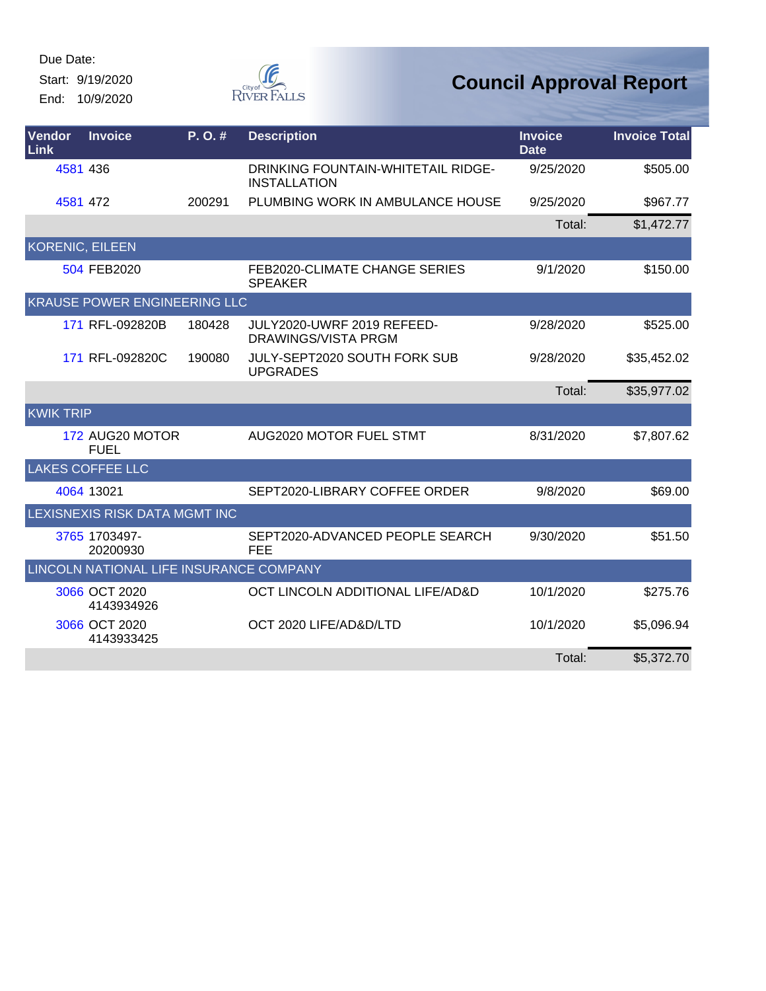Start: 9/19/2020 End: 10/9/2020



| <b>Vendor</b><br>Link  | <b>Invoice</b>                          | P. O. # | <b>Description</b>                                               | <b>Invoice</b><br><b>Date</b> | <b>Invoice Total</b> |
|------------------------|-----------------------------------------|---------|------------------------------------------------------------------|-------------------------------|----------------------|
| 4581 436               |                                         |         | <b>DRINKING FOUNTAIN-WHITETAIL RIDGE-</b><br><b>INSTALLATION</b> | 9/25/2020                     | \$505.00             |
| 4581 472               |                                         | 200291  | PLUMBING WORK IN AMBULANCE HOUSE                                 | 9/25/2020                     | \$967.77             |
|                        |                                         |         |                                                                  | Total:                        | \$1,472.77           |
| <b>KORENIC, EILEEN</b> |                                         |         |                                                                  |                               |                      |
|                        | 504 FEB2020                             |         | FEB2020-CLIMATE CHANGE SERIES<br><b>SPEAKER</b>                  | 9/1/2020                      | \$150.00             |
|                        | <b>KRAUSE POWER ENGINEERING LLC</b>     |         |                                                                  |                               |                      |
|                        | 171 RFL-092820B                         | 180428  | JULY2020-UWRF 2019 REFEED-<br><b>DRAWINGS/VISTA PRGM</b>         | 9/28/2020                     | \$525.00             |
|                        | 171 RFL-092820C                         | 190080  | JULY-SEPT2020 SOUTH FORK SUB<br><b>UPGRADES</b>                  | 9/28/2020                     | \$35,452.02          |
|                        |                                         |         |                                                                  | Total:                        | \$35,977.02          |
| <b>KWIK TRIP</b>       |                                         |         |                                                                  |                               |                      |
|                        | 172 AUG20 MOTOR<br><b>FUEL</b>          |         | AUG2020 MOTOR FUEL STMT                                          | 8/31/2020                     | \$7,807.62           |
|                        | <b>LAKES COFFEE LLC</b>                 |         |                                                                  |                               |                      |
|                        | 4064 13021                              |         | SEPT2020-LIBRARY COFFEE ORDER                                    | 9/8/2020                      | \$69.00              |
|                        | LEXISNEXIS RISK DATA MGMT INC           |         |                                                                  |                               |                      |
|                        | 3765 1703497-<br>20200930               |         | SEPT2020-ADVANCED PEOPLE SEARCH<br>FEE                           | 9/30/2020                     | \$51.50              |
|                        | LINCOLN NATIONAL LIFE INSURANCE COMPANY |         |                                                                  |                               |                      |
|                        | 3066 OCT 2020<br>4143934926             |         | OCT LINCOLN ADDITIONAL LIFE/AD&D                                 | 10/1/2020                     | \$275.76             |
|                        | 3066 OCT 2020<br>4143933425             |         | OCT 2020 LIFE/AD&D/LTD                                           | 10/1/2020                     | \$5,096.94           |
|                        |                                         |         |                                                                  | Total:                        | \$5,372.70           |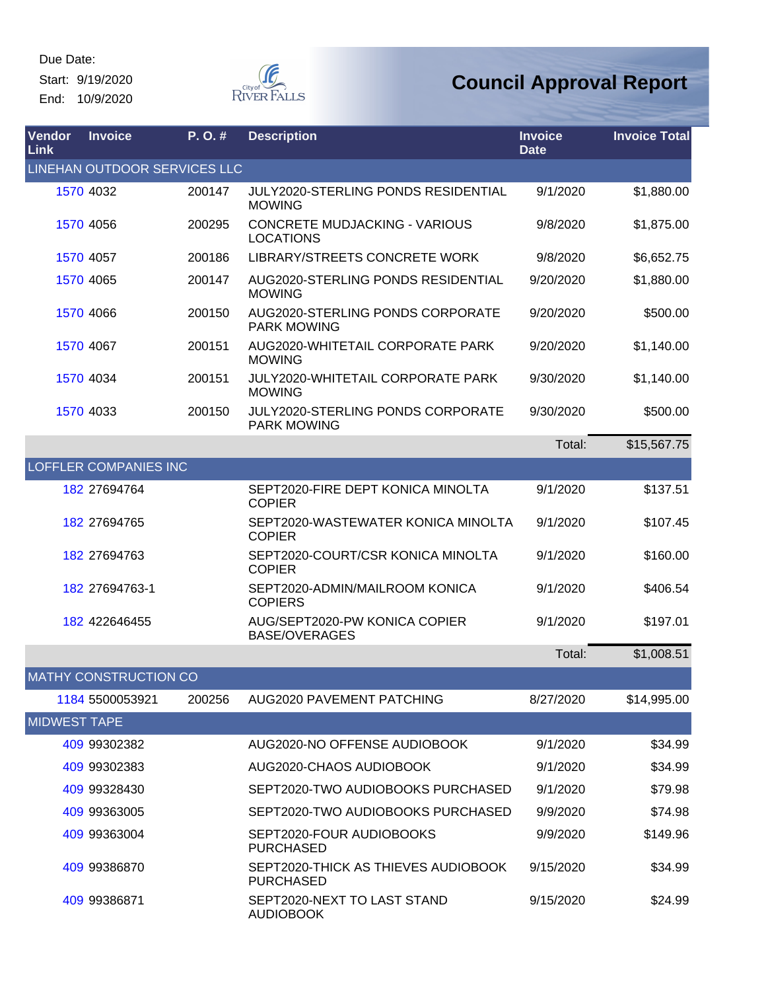Due Date: Start: 9/19/2020

End: 10/9/2020



| Vendor<br>Link      | <b>Invoice</b>               | P.O.#  | <b>Description</b>                                          | <b>Invoice</b><br><b>Date</b> | <b>Invoice Total</b> |
|---------------------|------------------------------|--------|-------------------------------------------------------------|-------------------------------|----------------------|
|                     | LINEHAN OUTDOOR SERVICES LLC |        |                                                             |                               |                      |
|                     | 1570 4032                    | 200147 | <b>JULY2020-STERLING PONDS RESIDENTIAL</b><br><b>MOWING</b> | 9/1/2020                      | \$1,880.00           |
|                     | 1570 4056                    | 200295 | <b>CONCRETE MUDJACKING - VARIOUS</b><br><b>LOCATIONS</b>    | 9/8/2020                      | \$1,875.00           |
|                     | 1570 4057                    | 200186 | LIBRARY/STREETS CONCRETE WORK                               | 9/8/2020                      | \$6,652.75           |
|                     | 1570 4065                    | 200147 | AUG2020-STERLING PONDS RESIDENTIAL<br><b>MOWING</b>         | 9/20/2020                     | \$1,880.00           |
|                     | 1570 4066                    | 200150 | AUG2020-STERLING PONDS CORPORATE<br><b>PARK MOWING</b>      | 9/20/2020                     | \$500.00             |
|                     | 1570 4067                    | 200151 | AUG2020-WHITETAIL CORPORATE PARK<br><b>MOWING</b>           | 9/20/2020                     | \$1,140.00           |
|                     | 1570 4034                    | 200151 | JULY2020-WHITETAIL CORPORATE PARK<br><b>MOWING</b>          | 9/30/2020                     | \$1,140.00           |
|                     | 1570 4033                    | 200150 | JULY2020-STERLING PONDS CORPORATE<br><b>PARK MOWING</b>     | 9/30/2020                     | \$500.00             |
|                     |                              |        |                                                             | Total:                        | \$15,567.75          |
|                     | <b>LOFFLER COMPANIES INC</b> |        |                                                             |                               |                      |
|                     | 182 27694764                 |        | SEPT2020-FIRE DEPT KONICA MINOLTA<br><b>COPIER</b>          | 9/1/2020                      | \$137.51             |
|                     | 182 27694765                 |        | SEPT2020-WASTEWATER KONICA MINOLTA<br><b>COPIER</b>         | 9/1/2020                      | \$107.45             |
|                     | 182 27694763                 |        | SEPT2020-COURT/CSR KONICA MINOLTA<br><b>COPIER</b>          | 9/1/2020                      | \$160.00             |
|                     | 182 27694763-1               |        | SEPT2020-ADMIN/MAILROOM KONICA<br><b>COPIERS</b>            | 9/1/2020                      | \$406.54             |
|                     | 182 422646455                |        | AUG/SEPT2020-PW KONICA COPIER<br><b>BASE/OVERAGES</b>       | 9/1/2020                      | \$197.01             |
|                     |                              |        |                                                             | Total:                        | \$1,008.51           |
|                     | <b>MATHY CONSTRUCTION CO</b> |        |                                                             |                               |                      |
|                     | 1184 5500053921              | 200256 | AUG2020 PAVEMENT PATCHING                                   | 8/27/2020                     | \$14,995.00          |
| <b>MIDWEST TAPE</b> |                              |        |                                                             |                               |                      |
|                     | 409 99302382                 |        | AUG2020-NO OFFENSE AUDIOBOOK                                | 9/1/2020                      | \$34.99              |
|                     | 409 99302383                 |        | AUG2020-CHAOS AUDIOBOOK                                     | 9/1/2020                      | \$34.99              |
|                     | 409 99328430                 |        | SEPT2020-TWO AUDIOBOOKS PURCHASED                           | 9/1/2020                      | \$79.98              |
|                     | 409 99363005                 |        | SEPT2020-TWO AUDIOBOOKS PURCHASED                           | 9/9/2020                      | \$74.98              |
|                     | 409 99363004                 |        | SEPT2020-FOUR AUDIOBOOKS<br><b>PURCHASED</b>                | 9/9/2020                      | \$149.96             |
|                     | 409 99386870                 |        | SEPT2020-THICK AS THIEVES AUDIOBOOK<br><b>PURCHASED</b>     | 9/15/2020                     | \$34.99              |
|                     | 409 99386871                 |        | SEPT2020-NEXT TO LAST STAND<br><b>AUDIOBOOK</b>             | 9/15/2020                     | \$24.99              |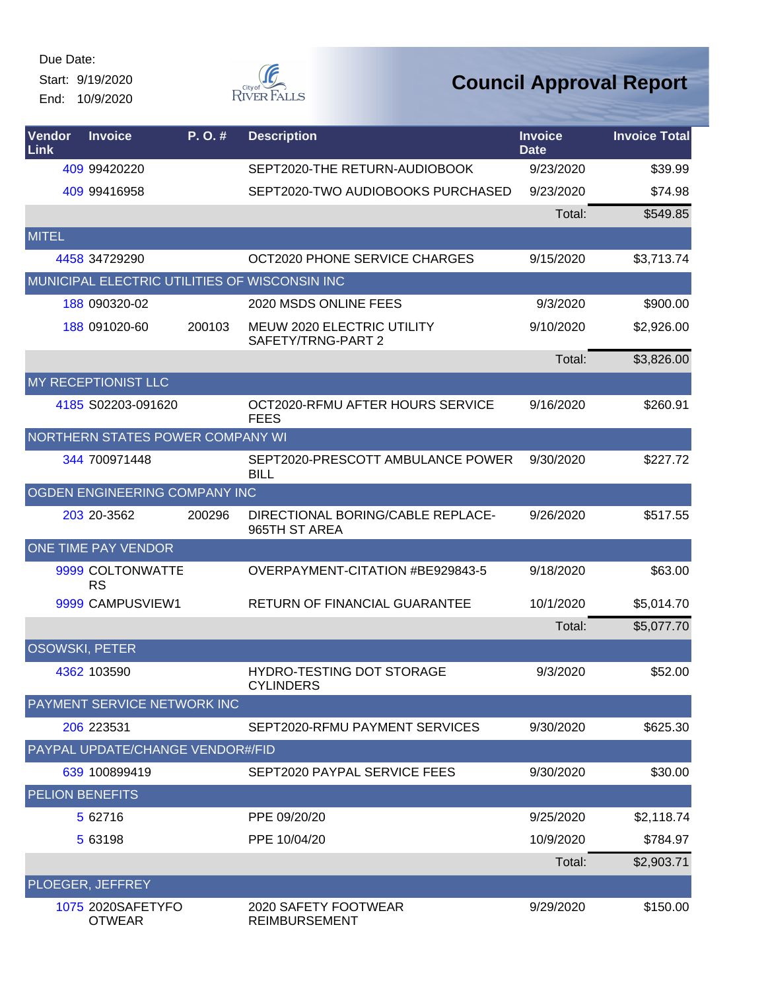Start: 9/19/2020 End: 10/9/2020



| <b>Vendor</b><br>Link  | <b>Invoice</b>                          | P.O.#  | <b>Description</b>                                 | <b>Invoice</b><br><b>Date</b> | <b>Invoice Total</b> |
|------------------------|-----------------------------------------|--------|----------------------------------------------------|-------------------------------|----------------------|
|                        | 409 99420220                            |        | SEPT2020-THE RETURN-AUDIOBOOK                      | 9/23/2020                     | \$39.99              |
|                        | 409 99416958                            |        | SEPT2020-TWO AUDIOBOOKS PURCHASED                  | 9/23/2020                     | \$74.98              |
|                        |                                         |        |                                                    | Total:                        | \$549.85             |
| <b>MITEL</b>           |                                         |        |                                                    |                               |                      |
|                        | 4458 34729290                           |        | OCT2020 PHONE SERVICE CHARGES                      | 9/15/2020                     | \$3,713.74           |
|                        |                                         |        | MUNICIPAL ELECTRIC UTILITIES OF WISCONSIN INC      |                               |                      |
|                        | 188 090320-02                           |        | 2020 MSDS ONLINE FEES                              | 9/3/2020                      | \$900.00             |
|                        | 188 091020-60                           | 200103 | MEUW 2020 ELECTRIC UTILITY<br>SAFETY/TRNG-PART 2   | 9/10/2020                     | \$2,926.00           |
|                        |                                         |        |                                                    | Total:                        | \$3,826.00           |
|                        | <b>MY RECEPTIONIST LLC</b>              |        |                                                    |                               |                      |
|                        | 4185 S02203-091620                      |        | OCT2020-RFMU AFTER HOURS SERVICE<br><b>FEES</b>    | 9/16/2020                     | \$260.91             |
|                        | <b>NORTHERN STATES POWER COMPANY WI</b> |        |                                                    |                               |                      |
|                        | 344 700971448                           |        | SEPT2020-PRESCOTT AMBULANCE POWER<br><b>BILL</b>   | 9/30/2020                     | \$227.72             |
|                        | OGDEN ENGINEERING COMPANY INC           |        |                                                    |                               |                      |
|                        | 203 20-3562                             | 200296 | DIRECTIONAL BORING/CABLE REPLACE-<br>965TH ST AREA | 9/26/2020                     | \$517.55             |
|                        | <b>ONE TIME PAY VENDOR</b>              |        |                                                    |                               |                      |
|                        | 9999 COLTONWATTE<br><b>RS</b>           |        | OVERPAYMENT-CITATION #BE929843-5                   | 9/18/2020                     | \$63.00              |
|                        | 9999 CAMPUSVIEW1                        |        | <b>RETURN OF FINANCIAL GUARANTEE</b>               | 10/1/2020                     | \$5,014.70           |
|                        |                                         |        |                                                    | Total:                        | \$5,077.70           |
| <b>OSOWSKI, PETER</b>  |                                         |        |                                                    |                               |                      |
|                        | 4362 103590                             |        | HYDRO-TESTING DOT STORAGE<br><b>CYLINDERS</b>      | 9/3/2020                      | \$52.00              |
|                        | PAYMENT SERVICE NETWORK INC             |        |                                                    |                               |                      |
|                        | 206 223531                              |        | SEPT2020-RFMU PAYMENT SERVICES                     | 9/30/2020                     | \$625.30             |
|                        | PAYPAL UPDATE/CHANGE VENDOR#/FID        |        |                                                    |                               |                      |
|                        | 639 100899419                           |        | SEPT2020 PAYPAL SERVICE FEES                       | 9/30/2020                     | \$30.00              |
| <b>PELION BENEFITS</b> |                                         |        |                                                    |                               |                      |
|                        | 5 62716                                 |        | PPE 09/20/20                                       | 9/25/2020                     | \$2,118.74           |
|                        | 5 63198                                 |        | PPE 10/04/20                                       | 10/9/2020                     | \$784.97             |
|                        |                                         |        |                                                    | Total:                        | \$2,903.71           |
|                        | PLOEGER, JEFFREY                        |        |                                                    |                               |                      |
|                        | 1075 2020SAFETYFO<br><b>OTWEAR</b>      |        | 2020 SAFETY FOOTWEAR<br><b>REIMBURSEMENT</b>       | 9/29/2020                     | \$150.00             |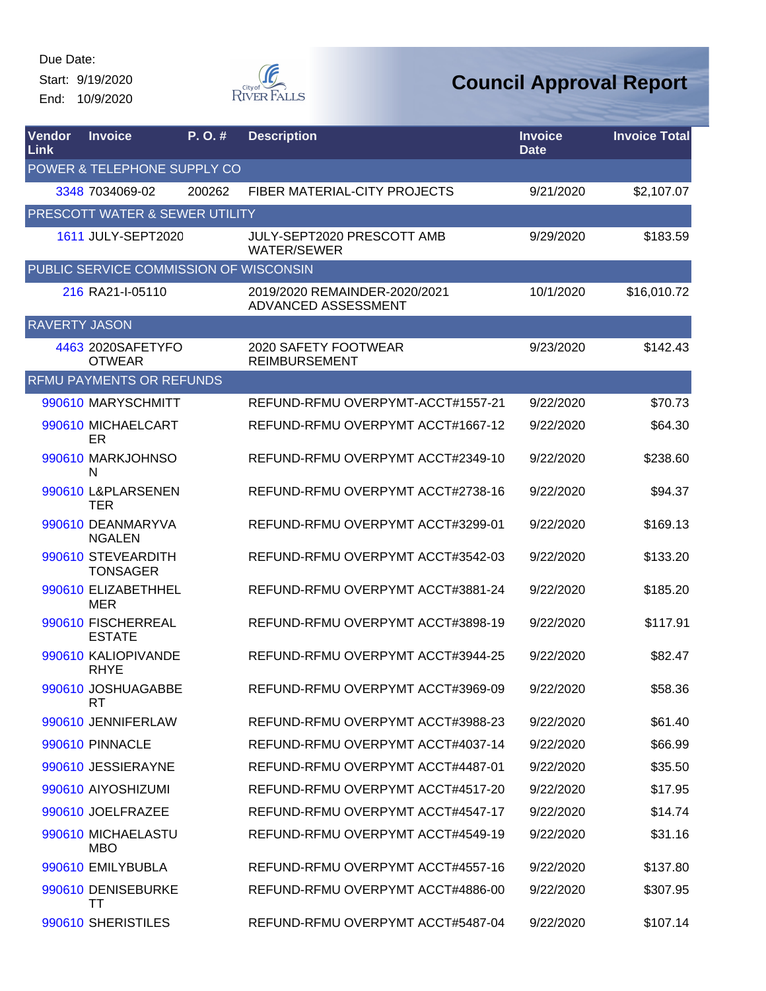Start: 9/19/2020 End: 10/9/2020



| Vendor<br>Link       | <b>Invoice</b>                         | P. O. # | <b>Description</b>                                   | <b>Invoice</b><br><b>Date</b> | <b>Invoice Total</b> |
|----------------------|----------------------------------------|---------|------------------------------------------------------|-------------------------------|----------------------|
|                      | POWER & TELEPHONE SUPPLY CO            |         |                                                      |                               |                      |
|                      | 3348 7034069-02                        | 200262  | FIBER MATERIAL-CITY PROJECTS                         | 9/21/2020                     | \$2,107.07           |
|                      | PRESCOTT WATER & SEWER UTILITY         |         |                                                      |                               |                      |
|                      | 1611 JULY-SEPT2020                     |         | JULY-SEPT2020 PRESCOTT AMB<br><b>WATER/SEWER</b>     | 9/29/2020                     | \$183.59             |
|                      | PUBLIC SERVICE COMMISSION OF WISCONSIN |         |                                                      |                               |                      |
|                      | 216 RA21-I-05110                       |         | 2019/2020 REMAINDER-2020/2021<br>ADVANCED ASSESSMENT | 10/1/2020                     | \$16,010.72          |
| <b>RAVERTY JASON</b> |                                        |         |                                                      |                               |                      |
|                      | 4463 2020SAFETYFO<br><b>OTWEAR</b>     |         | 2020 SAFETY FOOTWEAR<br><b>REIMBURSEMENT</b>         | 9/23/2020                     | \$142.43             |
|                      | <b>RFMU PAYMENTS OR REFUNDS</b>        |         |                                                      |                               |                      |
|                      | 990610 MARYSCHMITT                     |         | REFUND-RFMU OVERPYMT-ACCT#1557-21                    | 9/22/2020                     | \$70.73              |
|                      | 990610 MICHAELCART<br>ER               |         | REFUND-RFMU OVERPYMT ACCT#1667-12                    | 9/22/2020                     | \$64.30              |
|                      | 990610 MARKJOHNSO<br>N                 |         | REFUND-RFMU OVERPYMT ACCT#2349-10                    | 9/22/2020                     | \$238.60             |
|                      | 990610 L&PLARSENEN<br><b>TER</b>       |         | REFUND-RFMU OVERPYMT ACCT#2738-16                    | 9/22/2020                     | \$94.37              |
|                      | 990610 DEANMARYVA<br><b>NGALEN</b>     |         | REFUND-RFMU OVERPYMT ACCT#3299-01                    | 9/22/2020                     | \$169.13             |
|                      | 990610 STEVEARDITH<br><b>TONSAGER</b>  |         | REFUND-RFMU OVERPYMT ACCT#3542-03                    | 9/22/2020                     | \$133.20             |
|                      | 990610 ELIZABETHHEL<br><b>MER</b>      |         | REFUND-RFMU OVERPYMT ACCT#3881-24                    | 9/22/2020                     | \$185.20             |
|                      | 990610 FISCHERREAL<br><b>ESTATE</b>    |         | REFUND-RFMU OVERPYMT ACCT#3898-19                    | 9/22/2020                     | \$117.91             |
|                      | 990610 KALIOPIVANDE<br><b>RHYE</b>     |         | REFUND-RFMU OVERPYMT ACCT#3944-25                    | 9/22/2020                     | \$82.47              |
|                      | 990610 JOSHUAGABBE<br>RT               |         | REFUND-RFMU OVERPYMT ACCT#3969-09                    | 9/22/2020                     | \$58.36              |
|                      | 990610 JENNIFERLAW                     |         | REFUND-RFMU OVERPYMT ACCT#3988-23                    | 9/22/2020                     | \$61.40              |
|                      | 990610 PINNACLE                        |         | REFUND-RFMU OVERPYMT ACCT#4037-14                    | 9/22/2020                     | \$66.99              |
|                      | 990610 JESSIERAYNE                     |         | REFUND-RFMU OVERPYMT ACCT#4487-01                    | 9/22/2020                     | \$35.50              |
|                      | 990610 AIYOSHIZUMI                     |         | REFUND-RFMU OVERPYMT ACCT#4517-20                    | 9/22/2020                     | \$17.95              |
|                      | 990610 JOELFRAZEE                      |         | REFUND-RFMU OVERPYMT ACCT#4547-17                    | 9/22/2020                     | \$14.74              |
|                      | 990610 MICHAELASTU<br>MBO              |         | REFUND-RFMU OVERPYMT ACCT#4549-19                    | 9/22/2020                     | \$31.16              |
|                      | 990610 EMILYBUBLA                      |         | REFUND-RFMU OVERPYMT ACCT#4557-16                    | 9/22/2020                     | \$137.80             |
|                      | 990610 DENISEBURKE<br>TТ               |         | REFUND-RFMU OVERPYMT ACCT#4886-00                    | 9/22/2020                     | \$307.95             |
|                      | 990610 SHERISTILES                     |         | REFUND-RFMU OVERPYMT ACCT#5487-04                    | 9/22/2020                     | \$107.14             |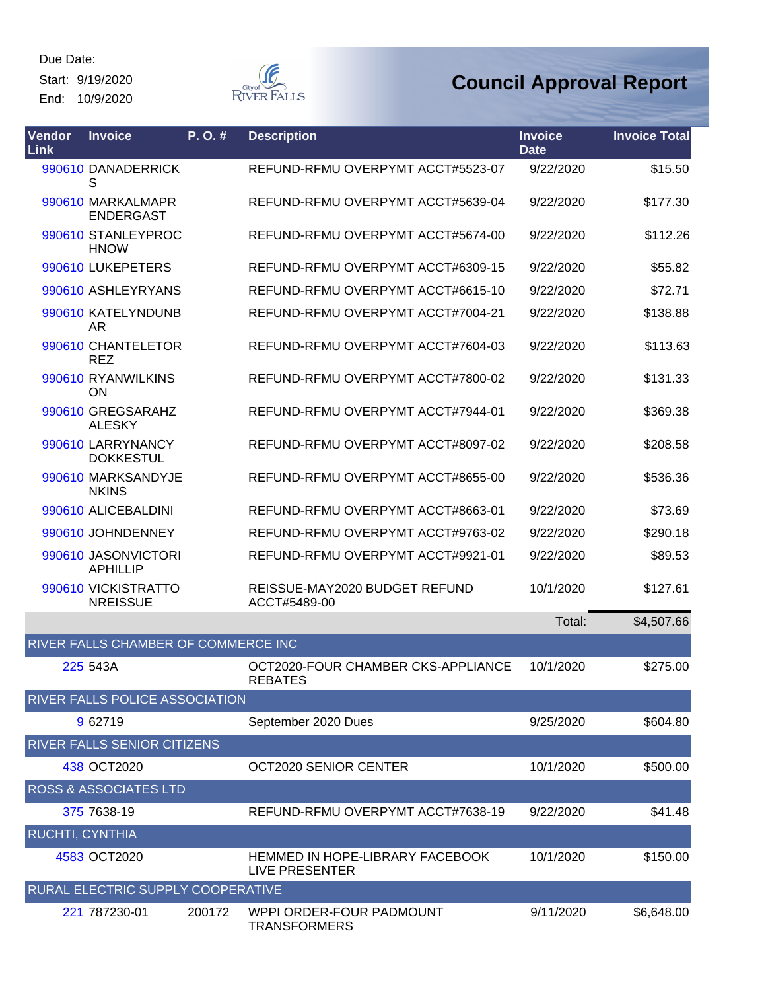Start: 9/19/2020 End: 10/9/2020



| <b>Vendor</b><br><b>Link</b> | <b>Invoice</b>                         | P.O.#  | <b>Description</b>                                   | <b>Invoice</b><br><b>Date</b> | <b>Invoice Total</b> |
|------------------------------|----------------------------------------|--------|------------------------------------------------------|-------------------------------|----------------------|
|                              | 990610 DANADERRICK<br>S                |        | REFUND-RFMU OVERPYMT ACCT#5523-07                    | 9/22/2020                     | \$15.50              |
|                              | 990610 MARKALMAPR<br><b>ENDERGAST</b>  |        | REFUND-RFMU OVERPYMT ACCT#5639-04                    | 9/22/2020                     | \$177.30             |
|                              | 990610 STANLEYPROC<br><b>HNOW</b>      |        | REFUND-RFMU OVERPYMT ACCT#5674-00                    | 9/22/2020                     | \$112.26             |
|                              | 990610 LUKEPETERS                      |        | REFUND-RFMU OVERPYMT ACCT#6309-15                    | 9/22/2020                     | \$55.82              |
|                              | 990610 ASHLEYRYANS                     |        | REFUND-RFMU OVERPYMT ACCT#6615-10                    | 9/22/2020                     | \$72.71              |
|                              | 990610 KATELYNDUNB<br>AR               |        | REFUND-RFMU OVERPYMT ACCT#7004-21                    | 9/22/2020                     | \$138.88             |
|                              | 990610 CHANTELETOR<br><b>REZ</b>       |        | REFUND-RFMU OVERPYMT ACCT#7604-03                    | 9/22/2020                     | \$113.63             |
|                              | 990610 RYANWILKINS<br>ON               |        | REFUND-RFMU OVERPYMT ACCT#7800-02                    | 9/22/2020                     | \$131.33             |
|                              | 990610 GREGSARAHZ<br><b>ALESKY</b>     |        | REFUND-RFMU OVERPYMT ACCT#7944-01                    | 9/22/2020                     | \$369.38             |
|                              | 990610 LARRYNANCY<br><b>DOKKESTUL</b>  |        | REFUND-RFMU OVERPYMT ACCT#8097-02                    | 9/22/2020                     | \$208.58             |
|                              | 990610 MARKSANDYJE<br><b>NKINS</b>     |        | REFUND-RFMU OVERPYMT ACCT#8655-00                    | 9/22/2020                     | \$536.36             |
|                              | 990610 ALICEBALDINI                    |        | REFUND-RFMU OVERPYMT ACCT#8663-01                    | 9/22/2020                     | \$73.69              |
|                              | 990610 JOHNDENNEY                      |        | REFUND-RFMU OVERPYMT ACCT#9763-02                    | 9/22/2020                     | \$290.18             |
|                              | 990610 JASONVICTORI<br><b>APHILLIP</b> |        | REFUND-RFMU OVERPYMT ACCT#9921-01                    | 9/22/2020                     | \$89.53              |
|                              | 990610 VICKISTRATTO<br><b>NREISSUE</b> |        | REISSUE-MAY2020 BUDGET REFUND<br>ACCT#5489-00        | 10/1/2020                     | \$127.61             |
|                              |                                        |        |                                                      | Total:                        | \$4,507.66           |
|                              | RIVER FALLS CHAMBER OF COMMERCE INC    |        |                                                      |                               |                      |
|                              | 225 543A                               |        | OCT2020-FOUR CHAMBER CKS-APPLIANCE<br><b>REBATES</b> | 10/1/2020                     | \$275.00             |
|                              | RIVER FALLS POLICE ASSOCIATION         |        |                                                      |                               |                      |
|                              | 9 62719                                |        | September 2020 Dues                                  | 9/25/2020                     | \$604.80             |
|                              | RIVER FALLS SENIOR CITIZENS            |        |                                                      |                               |                      |
|                              | 438 OCT2020                            |        | <b>OCT2020 SENIOR CENTER</b>                         | 10/1/2020                     | \$500.00             |
|                              | <b>ROSS &amp; ASSOCIATES LTD</b>       |        |                                                      |                               |                      |
|                              | 375 7638-19                            |        | REFUND-RFMU OVERPYMT ACCT#7638-19                    | 9/22/2020                     | \$41.48              |
| RUCHTI, CYNTHIA              |                                        |        |                                                      |                               |                      |
|                              | 4583 OCT2020                           |        | HEMMED IN HOPE-LIBRARY FACEBOOK<br>LIVE PRESENTER    | 10/1/2020                     | \$150.00             |
|                              | RURAL ELECTRIC SUPPLY COOPERATIVE      |        |                                                      |                               |                      |
|                              | 221 787230-01                          | 200172 | WPPI ORDER-FOUR PADMOUNT<br><b>TRANSFORMERS</b>      | 9/11/2020                     | \$6,648.00           |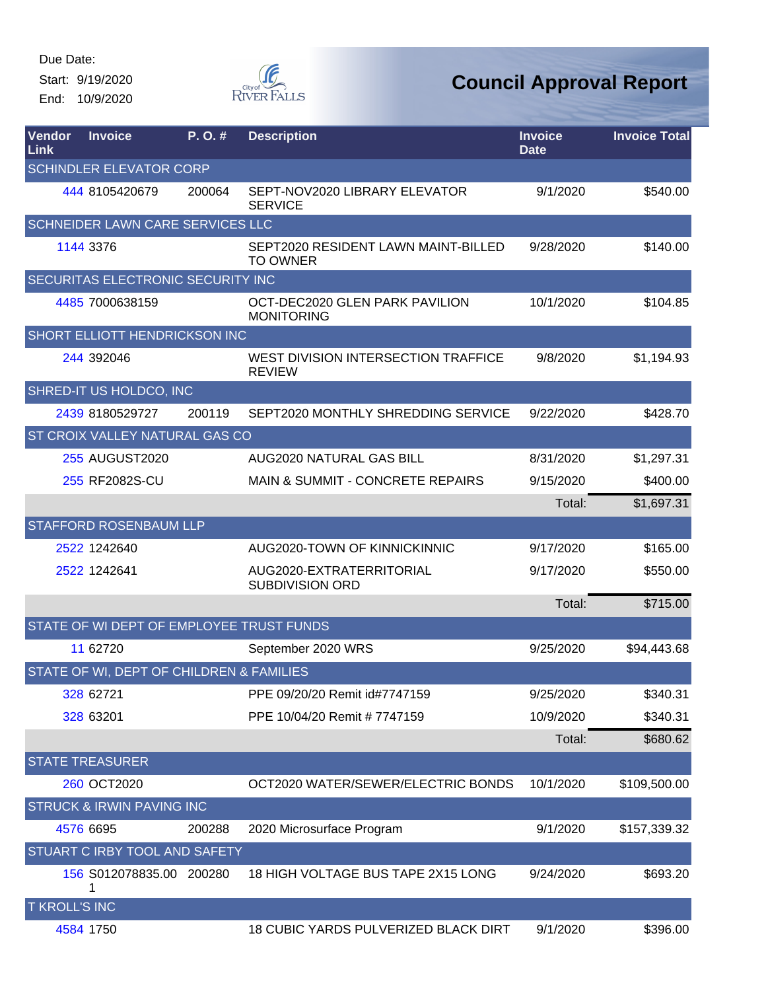Start: 9/19/2020 End: 10/9/2020



| Vendor<br><b>Link</b> | <b>Invoice</b>                           | P. O. # | <b>Description</b>                                     | <b>Invoice</b><br><b>Date</b> | <b>Invoice Total</b> |
|-----------------------|------------------------------------------|---------|--------------------------------------------------------|-------------------------------|----------------------|
|                       | <b>SCHINDLER ELEVATOR CORP</b>           |         |                                                        |                               |                      |
|                       | 444 8105420679                           | 200064  | SEPT-NOV2020 LIBRARY ELEVATOR<br><b>SERVICE</b>        | 9/1/2020                      | \$540.00             |
|                       | SCHNEIDER LAWN CARE SERVICES LLC         |         |                                                        |                               |                      |
|                       | 1144 3376                                |         | SEPT2020 RESIDENT LAWN MAINT-BILLED<br><b>TO OWNER</b> | 9/28/2020                     | \$140.00             |
|                       | SECURITAS ELECTRONIC SECURITY INC        |         |                                                        |                               |                      |
|                       | 4485 7000638159                          |         | OCT-DEC2020 GLEN PARK PAVILION<br><b>MONITORING</b>    | 10/1/2020                     | \$104.85             |
|                       | <b>SHORT ELLIOTT HENDRICKSON INC</b>     |         |                                                        |                               |                      |
|                       | 244 392046                               |         | WEST DIVISION INTERSECTION TRAFFICE<br><b>REVIEW</b>   | 9/8/2020                      | \$1,194.93           |
|                       | SHRED-IT US HOLDCO, INC                  |         |                                                        |                               |                      |
|                       | 2439 8180529727                          | 200119  | SEPT2020 MONTHLY SHREDDING SERVICE                     | 9/22/2020                     | \$428.70             |
|                       | <b>ST CROIX VALLEY NATURAL GAS CO</b>    |         |                                                        |                               |                      |
|                       | 255 AUGUST2020                           |         | AUG2020 NATURAL GAS BILL                               | 8/31/2020                     | \$1,297.31           |
|                       | 255 RF2082S-CU                           |         | <b>MAIN &amp; SUMMIT - CONCRETE REPAIRS</b>            | 9/15/2020                     | \$400.00             |
|                       |                                          |         |                                                        | Total:                        | \$1,697.31           |
|                       | <b>STAFFORD ROSENBAUM LLP</b>            |         |                                                        |                               |                      |
|                       | 2522 1242640                             |         | AUG2020-TOWN OF KINNICKINNIC                           | 9/17/2020                     | \$165.00             |
|                       | 2522 1242641                             |         | AUG2020-EXTRATERRITORIAL<br><b>SUBDIVISION ORD</b>     | 9/17/2020                     | \$550.00             |
|                       |                                          |         |                                                        | Total:                        | \$715.00             |
|                       | STATE OF WI DEPT OF EMPLOYEE TRUST FUNDS |         |                                                        |                               |                      |
|                       | 11 62720                                 |         | September 2020 WRS                                     | 9/25/2020                     | \$94,443.68          |
|                       | STATE OF WI, DEPT OF CHILDREN & FAMILIES |         |                                                        |                               |                      |
|                       | 328 62721                                |         | PPE 09/20/20 Remit id#7747159                          | 9/25/2020                     | \$340.31             |
|                       | 328 63201                                |         | PPE 10/04/20 Remit # 7747159                           | 10/9/2020                     | \$340.31             |
|                       |                                          |         |                                                        | Total:                        | \$680.62             |
|                       | <b>STATE TREASURER</b>                   |         |                                                        |                               |                      |
|                       | 260 OCT2020                              |         | OCT2020 WATER/SEWER/ELECTRIC BONDS                     | 10/1/2020                     | \$109,500.00         |
|                       | <b>STRUCK &amp; IRWIN PAVING INC</b>     |         |                                                        |                               |                      |
|                       | 4576 6695                                | 200288  | 2020 Microsurface Program                              | 9/1/2020                      | \$157,339.32         |
|                       | STUART C IRBY TOOL AND SAFETY            |         |                                                        |                               |                      |
|                       | 156 S012078835.00 200280                 |         | 18 HIGH VOLTAGE BUS TAPE 2X15 LONG                     | 9/24/2020                     | \$693.20             |
| <b>T KROLL'S INC</b>  |                                          |         |                                                        |                               |                      |
|                       | 4584 1750                                |         | 18 CUBIC YARDS PULVERIZED BLACK DIRT                   | 9/1/2020                      | \$396.00             |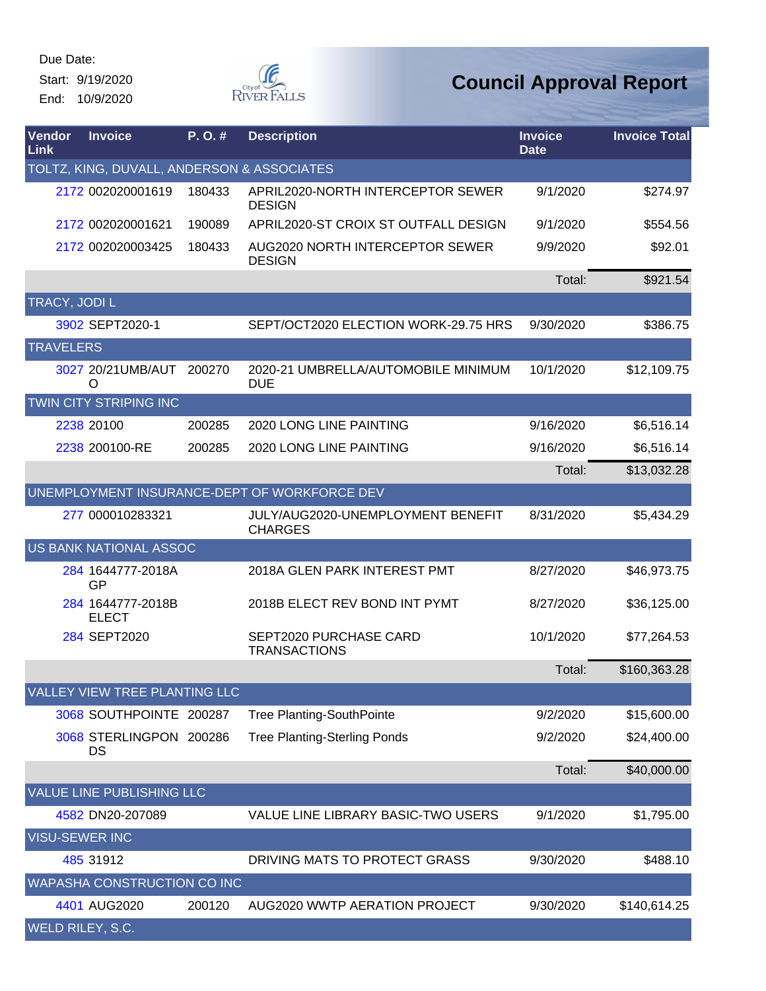End: 10/9/2020



| Vendor<br>Link   | <b>Invoice</b>                             | P.O.#  | <b>Description</b>                                  | <b>Invoice</b><br><b>Date</b> | <b>Invoice Total</b> |
|------------------|--------------------------------------------|--------|-----------------------------------------------------|-------------------------------|----------------------|
|                  | TOLTZ, KING, DUVALL, ANDERSON & ASSOCIATES |        |                                                     |                               |                      |
|                  | 2172 002020001619                          | 180433 | APRIL2020-NORTH INTERCEPTOR SEWER<br><b>DESIGN</b>  | 9/1/2020                      | \$274.97             |
|                  | 2172 002020001621                          | 190089 | APRIL2020-ST CROIX ST OUTFALL DESIGN                | 9/1/2020                      | \$554.56             |
|                  | 2172 002020003425                          | 180433 | AUG2020 NORTH INTERCEPTOR SEWER<br><b>DESIGN</b>    | 9/9/2020                      | \$92.01              |
|                  |                                            |        |                                                     | Total:                        | \$921.54             |
|                  | TRACY, JODI L                              |        |                                                     |                               |                      |
|                  | 3902 SEPT2020-1                            |        | SEPT/OCT2020 ELECTION WORK-29.75 HRS                | 9/30/2020                     | \$386.75             |
| <b>TRAVELERS</b> |                                            |        |                                                     |                               |                      |
|                  | 3027 20/21UMB/AUT 200270<br>O              |        | 2020-21 UMBRELLA/AUTOMOBILE MINIMUM<br><b>DUE</b>   | 10/1/2020                     | \$12,109.75          |
|                  | TWIN CITY STRIPING INC                     |        |                                                     |                               |                      |
|                  | 2238 20100                                 | 200285 | 2020 LONG LINE PAINTING                             | 9/16/2020                     | \$6,516.14           |
|                  | 2238 200100-RE                             | 200285 | 2020 LONG LINE PAINTING                             | 9/16/2020                     | \$6,516.14           |
|                  |                                            |        |                                                     | Total:                        | \$13,032.28          |
|                  |                                            |        | UNEMPLOYMENT INSURANCE-DEPT OF WORKFORCE DEV        |                               |                      |
|                  | 277 000010283321                           |        | JULY/AUG2020-UNEMPLOYMENT BENEFIT<br><b>CHARGES</b> | 8/31/2020                     | \$5,434.29           |
|                  | <b>US BANK NATIONAL ASSOC</b>              |        |                                                     |                               |                      |
|                  | 284 1644777-2018A<br>GP                    |        | 2018A GLEN PARK INTEREST PMT                        | 8/27/2020                     | \$46,973.75          |
|                  | 284 1644777-2018B<br><b>ELECT</b>          |        | 2018B ELECT REV BOND INT PYMT                       | 8/27/2020                     | \$36,125.00          |
|                  | 284 SEPT2020                               |        | SEPT2020 PURCHASE CARD<br><b>TRANSACTIONS</b>       | 10/1/2020                     | \$77,264.53          |
|                  |                                            |        |                                                     | Total:                        | \$160,363.28         |
|                  | <b>VALLEY VIEW TREE PLANTING LLC</b>       |        |                                                     |                               |                      |
|                  | 3068 SOUTHPOINTE 200287                    |        | <b>Tree Planting-SouthPointe</b>                    | 9/2/2020                      | \$15,600.00          |
|                  | 3068 STERLINGPON 200286<br>DS              |        | <b>Tree Planting-Sterling Ponds</b>                 | 9/2/2020                      | \$24,400.00          |
|                  |                                            |        |                                                     | Total:                        | \$40,000.00          |
|                  | VALUE LINE PUBLISHING LLC                  |        |                                                     |                               |                      |
|                  | 4582 DN20-207089                           |        | VALUE LINE LIBRARY BASIC-TWO USERS                  | 9/1/2020                      | \$1,795.00           |
|                  | <b>VISU-SEWER INC</b>                      |        |                                                     |                               |                      |
|                  | 485 31912                                  |        | DRIVING MATS TO PROTECT GRASS                       | 9/30/2020                     | \$488.10             |
|                  | WAPASHA CONSTRUCTION CO INC                |        |                                                     |                               |                      |
|                  | 4401 AUG2020                               | 200120 | AUG2020 WWTP AERATION PROJECT                       | 9/30/2020                     | \$140,614.25         |
|                  | WELD RILEY, S.C.                           |        |                                                     |                               |                      |